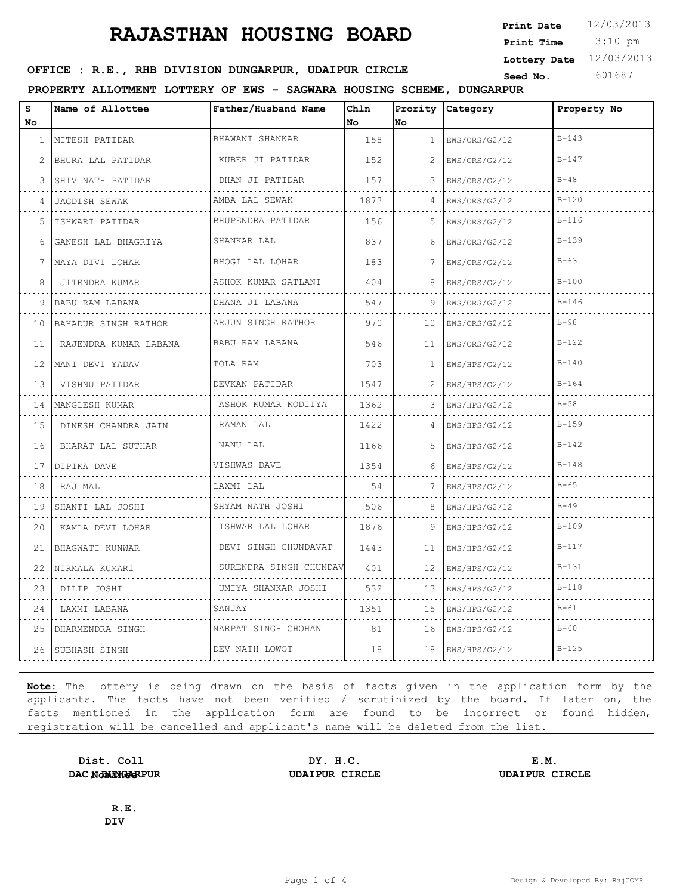3:10 pm **Print Date**  $12/03/2013$ **Print Time Lottery Date** 12/03/2013

## **SEED OFFICE : R.E., RHB DIVISION DUNGARPUR, UDAIPUR CIRCLE** Seed No. 601687

**PROPERTY ALLOTMENT LOTTERY OF EWS - SAGWARA HOUSING SCHEME, DUNGARPUR**

| s<br>No             | Name of Allottee          | Father/Husband Name           | Ch1n<br>No | Prority<br>lno. | Category           | Property No |
|---------------------|---------------------------|-------------------------------|------------|-----------------|--------------------|-------------|
| $\mathbf{1}$        | MITESH PATIDAR            | BHAWANI SHANKAR               | 158        | $\mathbf{1}$    | EWS/ORS/G2/12      | $B - 143$   |
| 2                   | BHURA LAL PATIDAR         | .<br>KUBER JI PATIDAR         | 152        | 2               | .<br>EWS/ORS/G2/12 | $B - 147$   |
| 3                   | .<br>SHIV NATH PATIDAR    | .<br>DHAN JI PATIDAR          | 157        | 3               | EWS/ORS/G2/12      | $B - 48$    |
| 4                   | JAGDISH SEWAK             | AMBA LAL SEWAK                | 1873       |                 | EWS/ORS/G2/12      | $B - 120$   |
| 5                   | .<br>ISHWARI PATIDAR      | .<br>BHUPENDRA PATIDAR        | 156        | 5               | .<br>EWS/ORS/G2/12 | $B - 116$   |
| 6                   | GANESH LAL BHAGRIYA       | .<br>SHANKAR LAL              | 837        | 6               | EWS/ORS/G2/12      | $B - 139$   |
| 7                   | MAYA DIVI LOHAR           | BHOGI LAL LOHAR               | 183        | 7               | EWS/ORS/G2/12      | $B-63$      |
| 8                   | JITENDRA KUMAR            | .<br>ASHOK KUMAR SATLANI<br>. | 404        | 8               | EWS/ORS/G2/12      | $B-100$     |
| 9                   | BABU RAM LABANA           | DHANA JI LABANA<br><u>.</u>   | 547        | 9               | EWS/ORS/G2/12      | $B - 146$   |
| 10                  | BAHADUR SINGH RATHOR<br>. | ARJUN SINGH RATHOR            | 970        | 10              | EWS/ORS/G2/12<br>. | $B-98$      |
| 11                  | RAJENDRA KUMAR LABANA     | BABU RAM LABANA               | 546        | 11              | EWS/ORS/G2/12      | $B-122$     |
| 12                  | MANI DEVI YADAV<br>.      | TOLA RAM                      | 703        | 1               | EWS/HPS/G2/12      | $B - 140$   |
| 13                  | VISHNU PATIDAR            | DEVKAN PATIDAR<br>.           | 1547       | 2.              | EWS/HPS/G2/12      | $B - 164$   |
| 14                  | MANGLESH KUMAR            | ASHOK KUMAR KODIIYA           | 1362       | 3               | EWS/HPS/G2/12      | $B-58$      |
| 15                  | DINESH CHANDRA JAIN       | RAMAN LAL                     | 1422       | 4               | EWS/HPS/G2/12      | $B - 159$   |
| $\sim$ $\sim$<br>16 | BHARAT LAL SUTHAR         | NANU LAL                      | 1166       | 5.              | EWS/HPS/G2/12      | $B - 142$   |
| 17                  | DIPIKA DAVE               | VISHWAS DAVE                  | 1354       | 6               | EWS/HPS/G2/12      | $B - 148$   |
| 18                  | RAJ MAL                   | LAXMI LAL                     | 54         | 7               | EWS/HPS/G2/12      | $B-65$      |
| 19                  | SHANTI LAL JOSHI          | SHYAM NATH JOSHI              | 506        | 8               | EWS/HPS/G2/12      | $B - 49$    |
| 20                  | KAMLA DEVI LOHAR          | ISHWAR LAL LOHAR              | 1876       | 9               | EWS/HPS/G2/12      | $B - 109$   |
| 21                  | BHAGWATI KUNWAR           | DEVI SINGH CHUNDAVAT<br>.     | 1443       | 11              | EWS/HPS/G2/12      | $B - 117$   |
| 22                  | NIRMALA KUMARI            | SURENDRA SINGH CHUNDAV        | 401        | 12              | EWS/HPS/G2/12      | $B-131$     |
| 23                  | DILIP JOSHI               | UMIYA SHANKAR JOSHI           | 532        | 13              | EWS/HPS/G2/12      | $B - 118$   |
| 24                  | LAXMI LABANA              | SANJAY                        | 1351       | 15              | EWS/HPS/G2/12      | $B-61$      |
| 25                  | DHARMENDRA SINGH          | NARPAT SINGH CHOHAN           | 81         | 16              | EWS/HPS/G2/12      | $B-60$      |
| 26                  | ISUBHASH SINGH            | DEV NATH LOWOT                | 18         | 18              | EWS/HPS/G2/12      | $B-125$     |

**Note:** The lottery is being drawn on the basis of facts given in the application form by the applicants. The facts have not been verified / scrutinized by the board. If later on, the facts mentioned in the application form are found to be incorrect or found hidden, registration will be cancelled and applicant's name will be deleted from the list.

**Dist. Coll DAC NomINGERPUR** 

**DY. H.C. E.M. DAC, DUNGARPUR UDAIPUR CIRCLE UDAIPUR CIRCLE**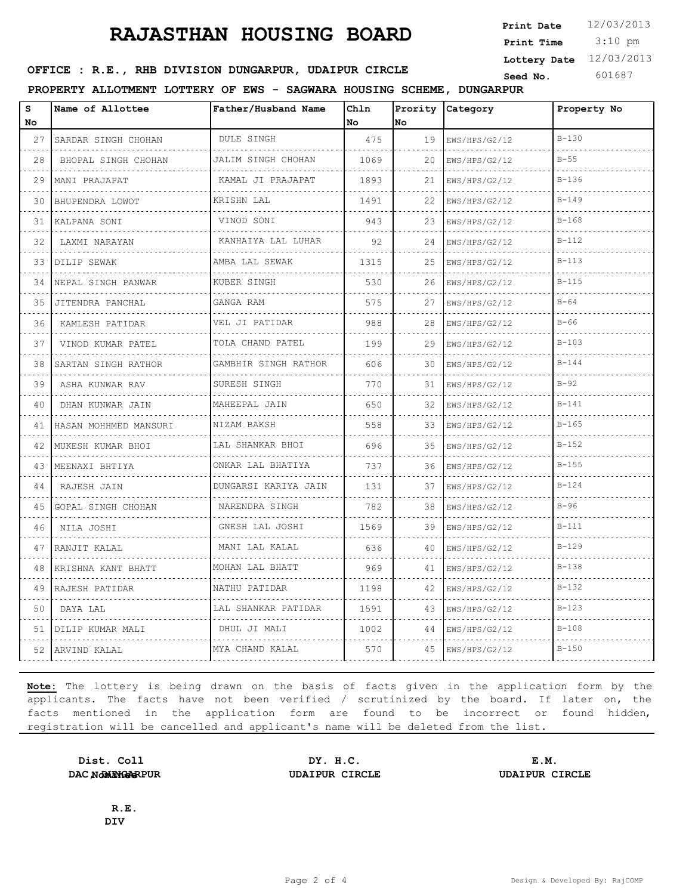3:10 pm **Print Date**  $12/03/2013$ **Print Time Lottery Date** 12/03/2013

## **SEED OFFICE : R.E., RHB DIVISION DUNGARPUR, UDAIPUR CIRCLE** Seed No. 601687

**PROPERTY ALLOTMENT LOTTERY OF EWS - SAGWARA HOUSING SCHEME, DUNGARPUR**

| s<br>No. | Name of Allottee          | Father/Husband Name       | Chln<br><b>No</b> | lNo. | Prority Category   | Property No |
|----------|---------------------------|---------------------------|-------------------|------|--------------------|-------------|
| 27       | SARDAR SINGH CHOHAN       | <b>DULE SINGH</b>         | 475               | 19   | EWS/HPS/G2/12      | $B - 130$   |
| 28       | BHOPAL SINGH CHOHAN       | .<br>JALIM SINGH CHOHAN   | 1069              | 20   | .<br>EWS/HPS/G2/12 | $B-55$      |
| 29       | MANI PRAJAPAT             | .<br>KAMAL JI PRAJAPAT    | 1893              | 21   | EWS/HPS/G2/12      | $B-136$     |
| 30       | BHUPENDRA LOWOT           | KRISHN LAL                | 1491              | 22   | EWS/HPS/G2/12      | $B - 149$   |
| 31       | KALPANA SONI              | VINOD SONI                | 943               | 23   | EWS/HPS/G2/12      | $B - 168$   |
| 32       | LAXMI NARAYAN             | KANHAIYA LAL LUHAR        | 92                | 24   | EWS/HPS/G2/12      | $B - 112$   |
| 33       | DILIP SEWAK               | AMBA LAL SEWAK            | 1315              | 25   | EWS/HPS/G2/12      | $B - 113$   |
| 34       | NEPAL SINGH PANWAR        | .<br>KUBER SINGH          | 530               | 26   | .<br>EWS/HPS/G2/12 | $B-115$     |
| 35       | JITENDRA PANCHAL          | GANGA RAM                 | 575               | 27   | EWS/HPS/G2/12      | $B-64$      |
| 36       | .<br>KAMLESH PATIDAR<br>. | VEL JI PATIDAR<br>.       | 988               | 28   | EWS/HPS/G2/12<br>. | $B-66$      |
| 37       | VINOD KUMAR PATEL         | TOLA CHAND PATEL          | 199               | 29   | EWS/HPS/G2/12      | $B - 103$   |
| 38       | SARTAN SINGH RATHOR       | GAMBHIR SINGH RATHOR<br>. | 606               | 30   | EWS/HPS/G2/12      | $B - 144$   |
| 39       | ASHA KUNWAR RAV<br>.      | SURESH SINGH<br>.         | 770               | 31   | EWS/HPS/G2/12      | $B-92$      |
| 40       | DHAN KUNWAR JAIN          | MAHEEPAL JAIN             | 650               | 32   | EWS/HPS/G2/12      | $B - 141$   |
| 41       | HASAN MOHHMED MANSURI     | NIZAM BAKSH               | 558               | 33   | EWS/HPS/G2/12      | $B - 165$   |
| 42       | MUKESH KUMAR BHOI         | LAL SHANKAR BHOI<br>.     | 696               | 35   | EWS/HPS/G2/12<br>. | $B - 152$   |
| 43       | MEENAXI BHTIYA            | ONKAR LAL BHATIYA         | 737               | 36   | EWS/HPS/G2/12      | $B - 155$   |
| 44       | RAJESH JAIN               | DUNGARSI KARIYA JAIN<br>. | 131               | 37   | EWS/HPS/G2/12      | $B - 124$   |
| 45       | GOPAL SINGH CHOHAN        | NARENDRA SINGH<br>.       | 782               | 38   | EWS/HPS/G2/12      | $B-96$      |
| 46       | NILA JOSHI                | GNESH LAL JOSHI           | 1569              | 39   | EWS/HPS/G2/12      | $B-111$     |
| 47       | RANJIT KALAL              | MANI LAL KALAL            | 636               | 40   | EWS/HPS/G2/12      | $B - 129$   |
| 48       | KRISHNA KANT BHATT        | MOHAN LAL BHATT           | 969               | 41   | EWS/HPS/G2/12      | $B-138$     |
| 49       | RAJESH PATIDAR            | NATHU PATIDAR             | 1198              | 42   | EWS/HPS/G2/12      | $B - 132$   |
| 50       | DAYA LAL                  | LAL SHANKAR PATIDAR       | 1591              | 43   | EWS/HPS/G2/12      | $B - 123$   |
| 51       | DILIP KUMAR MALI          | DHUL JI MALI              | 1002              | 44   | EWS/HPS/G2/12      | $B - 108$   |
|          | 52 ARVIND KALAL           | MYA CHAND KALAL           | 570               | 45   | ENS/HPS/G2/12      | $B-150$     |

**Note:** The lottery is being drawn on the basis of facts given in the application form by the applicants. The facts have not been verified / scrutinized by the board. If later on, the facts mentioned in the application form are found to be incorrect or found hidden, registration will be cancelled and applicant's name will be deleted from the list.

**Dist. Coll DAC NomINGERPUR** 

**DY. H.C. E.M. DAC, DUNGARPUR UDAIPUR CIRCLE UDAIPUR CIRCLE**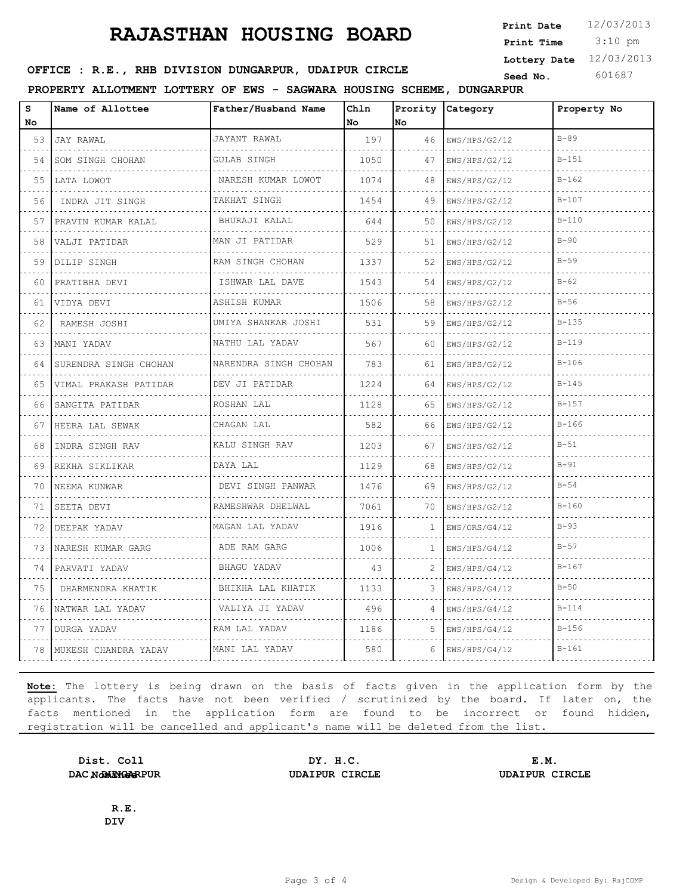3:10 pm **Print Date**  $12/03/2013$ **Print Time Lottery Date** 12/03/2013

## **SEED OFFICE : R.E., RHB DIVISION DUNGARPUR, UDAIPUR CIRCLE** Seed No. 601687

**PROPERTY ALLOTMENT LOTTERY OF EWS - SAGWARA HOUSING SCHEME, DUNGARPUR**

| s<br>No | Name of Allottee      | Father/Husband Name      | Ch1n<br>No | Prority<br>No | Category           | Property No |
|---------|-----------------------|--------------------------|------------|---------------|--------------------|-------------|
| 53      | JAY RAWAL<br>.        | JAYANT RAWAL<br>.        | 197        | 46            | EWS/HPS/G2/12      | $B-89$      |
| 54      | SOM SINGH CHOHAN      | GULAB SINGH              | 1050       | 47            | .<br>EWS/HPS/G2/12 | $B - 151$   |
| 55      | LATA LOWOT            | NARESH KUMAR LOWOT       | 1074       | 48            | EWS/HPS/G2/12      | $B - 162$   |
| 56      | INDRA JIT SINGH       | TAKHAT SINGH<br>.        | 1454       | 49            | EWS/HPS/G2/12      | $B - 107$   |
| 57      | PRAVIN KUMAR KALAL    | BHURAJI KALAL            | 644        | 50            | EWS/HPS/G2/12      | $B-110$     |
| 58      | VALJI PATIDAR         | MAN JI PATIDAR           | 529        | 51            | EWS/HPS/G2/12      | $B-90$      |
| 59      | DILIP SINGH<br>.      | RAM SINGH CHOHAN         | 1337       | 52            | EWS/HPS/G2/12      | $B-59$      |
| 60      | PRATIBHA DEVI         | ISHWAR LAL DAVE          | 1543       | 54            | EWS/HPS/G2/12      | $B-62$      |
| 61      | VIDYA DEVI            | ASHISH KUMAR<br>.        | 1506       | 58            | EWS/HPS/G2/12      | $B-56$      |
| 62      | RAMESH JOSHI          | UMIYA SHANKAR JOSHI<br>. | 531        | 59            | EWS/HPS/G2/12<br>. | $B - 135$   |
| 63      | MANI YADAV            | NATHU LAL YADAV          | 567        | 60            | EWS/HPS/G2/12      | $B-119$     |
| 64      | SURENDRA SINGH CHOHAN | NARENDRA SINGH CHOHAN    | 783        | 61            | EWS/HPS/G2/12      | $B - 106$   |
| 65      | VIMAL PRAKASH PATIDAR | DEV JI PATIDAR           | 1224       | 64            | EWS/HPS/G2/12<br>. | $B - 145$   |
| 66      | SANGITA PATIDAR       | ROSHAN LAL               | 1128       | 65            | EWS/HPS/G2/12      | $B - 157$   |
| 67      | HEERA LAL SEWAK       | CHAGAN LAL               | 582        | 66            | EWS/HPS/G2/12      | $B - 166$   |
| 68      | INDRA SINGH RAV       | KALU SINGH RAV           | 1203       | 67            | EWS/HPS/G2/12      | $B-51$      |
| 69      | REKHA SIKLIKAR        | DAYA LAL                 | 1129       | 68            | EWS/HPS/G2/12      | $B-91$      |
| 70      | NEEMA KUNWAR          | DEVI SINGH PANWAR<br>.   | 1476       | 69            | EWS/HPS/G2/12      | $B-54$      |
| 71      | SEETA DEVI            | RAMESHWAR DHELWAL        | 7061       | 70            | EWS/HPS/G2/12      | $B - 160$   |
| 72      | DEEPAK YADAV          | MAGAN LAL YADAV          | 1916       | 1             | EWS/ORS/G4/12      | $B-93$      |
| 73      | NARESH KUMAR GARG     | ADE RAM GARG<br>.        | 1006       | 1             | EWS/HPS/G4/12      | $B-57$      |
| 74      | PARVATI YADAV         | BHAGU YADAV              | 43         |               | EWS/HPS/G4/12      | $B - 167$   |
| 75      | DHARMENDRA KHATIK     | BHIKHA LAL KHATIK        | 1133       | 3             | EWS/HPS/G4/12      | $B-50$      |
| 76      | NATWAR LAL YADAV      | VALIYA JI YADAV          | 496        | 4             | EWS/HPS/G4/12      | $B - 114$   |
| 77      | DURGA YADAV           | RAM LAL YADAV            | 1186       | 5             | EWS/HPS/G4/12      | $B-156$     |
| 78      | MUKESH CHANDRA YADAV  | MANI LAL YADAV           | 580        | 6             | EWS/HPS/G4/12      | $B - 161$   |

**Note:** The lottery is being drawn on the basis of facts given in the application form by the applicants. The facts have not been verified / scrutinized by the board. If later on, the facts mentioned in the application form are found to be incorrect or found hidden, registration will be cancelled and applicant's name will be deleted from the list.

**Dist. Coll DAC NomINGERPUR** 

**DY. H.C. E.M. DAC, DUNGARPUR UDAIPUR CIRCLE UDAIPUR CIRCLE**